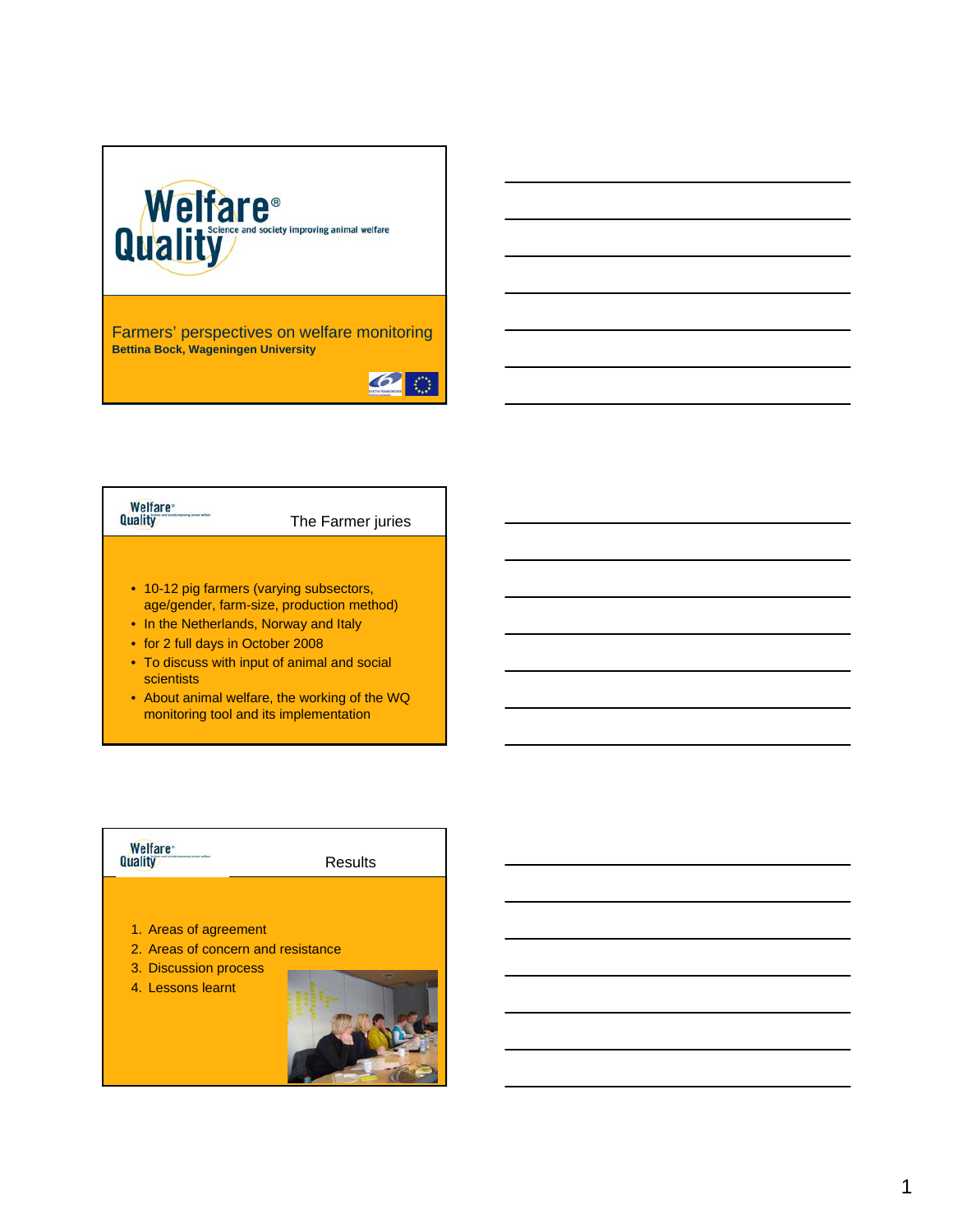

Farmers' perspectives on welfare monitoring **Bettina Bock, Wageningen University**





- age/gender, farm-size, production method)
- In the Netherlands, Norway and Italy
- for 2 full days in October 2008
- To discuss with input of animal and social scientists
- About animal welfare, the working of the WQ monitoring tool and its implementation

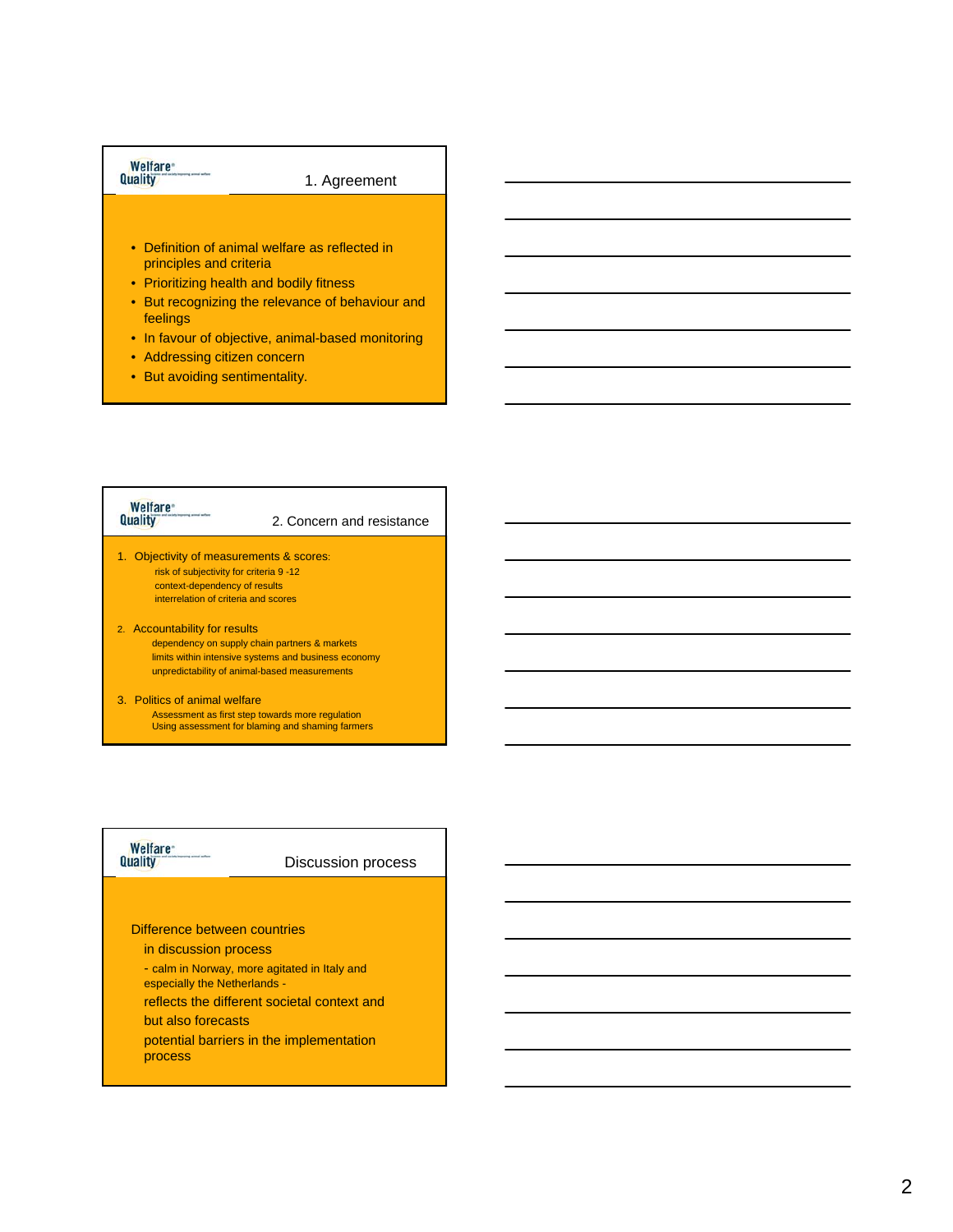# Welfare<sup>®</sup><br>Quality

### 1. Agreement

- Definition of animal welfare as reflected in principles and criteria
- Prioritizing health and bodily fitness
- But recognizing the relevance of behaviour and feelings
- In favour of objective, animal-based monitoring
- Addressing citizen concern
- But avoiding sentimentality.

### **Welfare**<sup>\*</sup> Quality 2. Concern and resistance 1. Objectivity of measurements & scores:

- risk of subjectivity for criteria 9 -12 context-dependency of results interrelation of criteria and scores
- 2. Accountability for results dependency on supply chain partners & markets limits within intensive systems and business economy unpredictability of animal-based measurements
- 3. Politics of animal welfare Assessment as first step towards more regulation Using assessment for blaming and shaming farmers

# Welfare<sup>®</sup><br>Quality

Discussion process

#### Difference between countries

- in discussion process
- calm in Norway, more agitated in Italy and
- especially the Netherlands -
- reflects the different societal context and

#### but also forecasts

potential barriers in the implementation process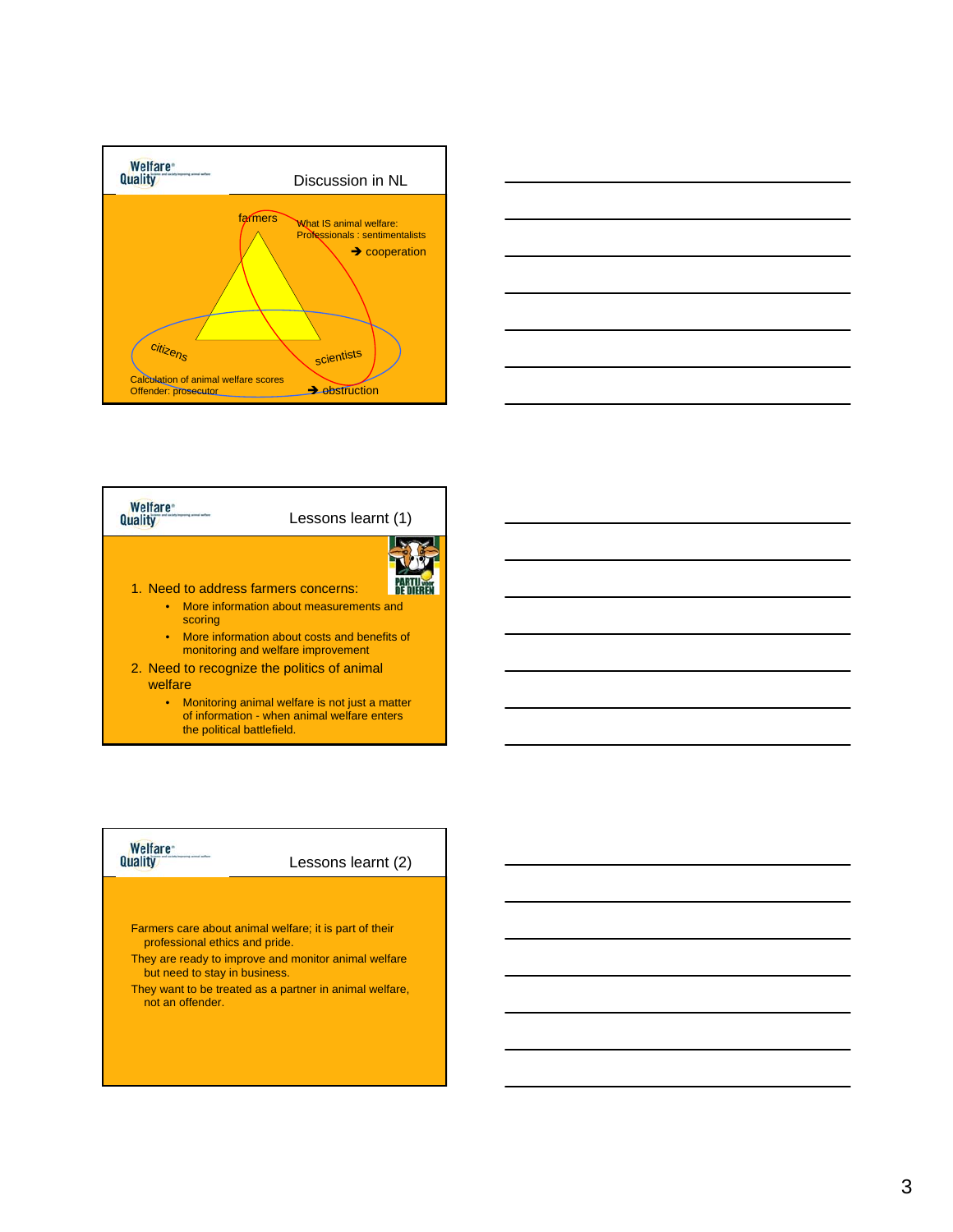





• Monitoring animal welfare is not just a matter of information - when animal welfare enters the political battlefield.

# Welfare<sup>®</sup><br>Quality

Lessons learnt (2)

Farmers care about animal welfare; it is part of their professional ethics and pride.

- They are ready to improve and monitor animal welfare but need to stay in business.
- They want to be treated as a partner in animal welfare, not an offender.